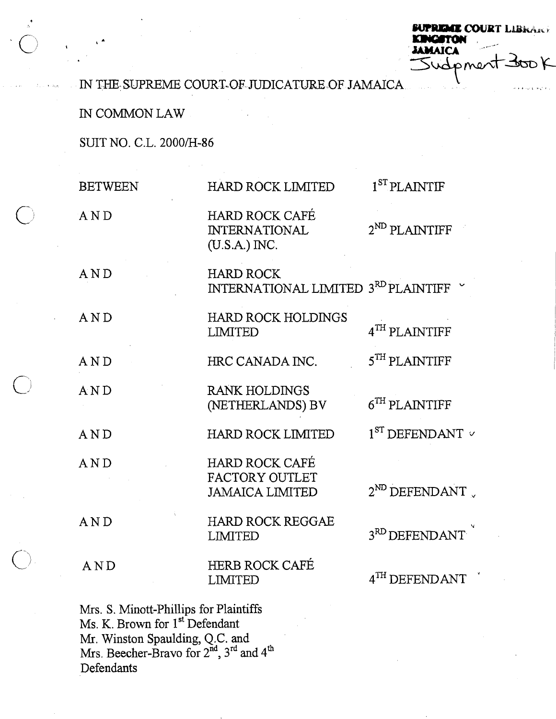**LCOURT LIBRARY JAMAICA** sudpmer

IN THE SUPREME COURT-OF JUDICATURE OF JAMAICA *.* 

IN COMMON LAW

SUIT NO. C.L. 2000/H-86

|            | <b>BETWEEN</b>                                                                       | HARD ROCK LIMITED                                                         | 1 <sup>ST</sup> PLANTIF                               |
|------------|--------------------------------------------------------------------------------------|---------------------------------------------------------------------------|-------------------------------------------------------|
| $\bigcirc$ | AND                                                                                  | HARD ROCK CAFÉ<br><b>INTERNATIONAL</b><br>$(U.S.A.)$ INC.                 | $2^{ND}$ PLAINTIFF                                    |
|            | AND                                                                                  | HARD ROCK<br>INTERNATIONAL LIMITED $3^{\text{RD}}$ PLAINTIFF $~\check{~}$ |                                                       |
|            | AND                                                                                  | HARD ROCK HOLDINGS<br>LIMITED                                             | $4^{TH}$ PLAINTIFF                                    |
|            | AND                                                                                  | HRC CANADA INC.                                                           | $5^{TH}$ PLAINTIFF                                    |
| $\bigcirc$ | AND                                                                                  | RANK HOLDINGS<br>(NETHERLANDS) BV                                         | $6TH$ PLAINTIFF                                       |
|            | AND                                                                                  | HARD ROCK LIMITED                                                         | $1ST$ DEFENDANT $\vee$                                |
|            | AND                                                                                  | HARD ROCK CAFÉ<br>FACTORY OUTLET<br><b>JAMAICA LIMITED</b>                | $2^{ND}$ DEFENDANT                                    |
|            | AND                                                                                  | HARD ROCK REGGAE<br>LIMITED                                               | $3^{\rm RD} \, {\rm DEFENDANT}$ $\check{\phantom{a}}$ |
| $\bigcirc$ | AND                                                                                  | HERB ROCK CAFÉ<br>LIMITED                                                 | $4^{TH}$ DEFENDANT                                    |
|            | Mrs. S. Minott-Phillips for Plaintiffs<br>Ms. K. Brown for 1 <sup>st</sup> Defendant |                                                                           |                                                       |

Mr. Winston Spaulding, Q.C. and Mrs. Beecher-Bravo for  $2^{na}$ ,  $3^{ra}$  and  $4^u$ Defendants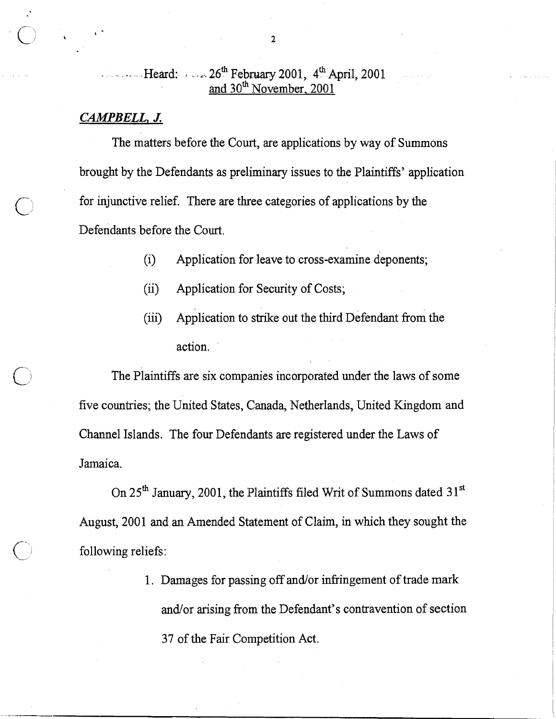## . . . Heard: . . . ..- 26" February 2001, **4'h** April, 200 1 and 30<sup>th</sup> November, 2001

## *CAMPBELL, J.*

The matters before the Court, are applications by way of Summons brought by the Defendants as preliminary issues to the Plaintiffs' application for injunctive relief. There are three categories of applications by the Defendants before the Court.

- (i) Application for leave to cross-examine deponents;
- (ii) Application for Security of Costs;
- $(iii)$  Application to strike out the third Defendant from the action.

The Plaintiffs are six companies incorporated under the laws of some five countries; the United States, Canada, Netherlands, United Kingdom and Channel Islands. The four Defendants are registered under the Laws of Jamaica.

On  $25<sup>th</sup>$  January, 2001, the Plaintiffs filed Writ of Summons dated  $31<sup>st</sup>$ August, 2001 and an Amended Statement of Claim, in whch they sought the following reliefs:

> 1. Damages for passing off and/or infringement of trade mark and/or arising from the Defendant's contravention of section 37 of the Fair Competition Act.

 $\overline{2}$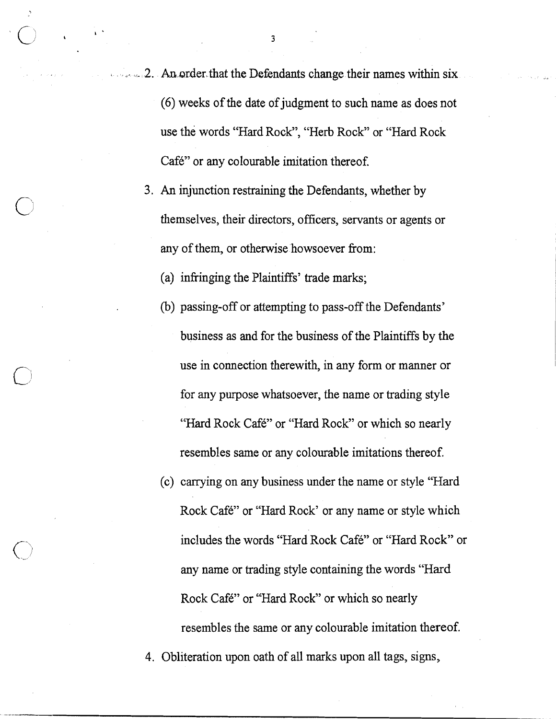**2.** An order that the Defendants change their names within six (6) weeks of the date of judgment to such name as does not use the words "Hard Rock", "Herb Rock" or "Hard Rock Café" or any colourable imitation thereof.

**3.** An injunction restraining the Defendants, whether by themselves, their directors, officers, servants or agents or any of them, or otherwise howsoever from:

(a) infringing the Plaintiffs' trade marks;

- (b) passing-off or attempting to pass-off the Defendants' business as and for the business of the Plaintiffs by the use in connection therewith, in any form or manner or for any purpose whatsoever, the name or trading style "Hard Rock Café" or "Hard Rock" or which so nearly resembles same or any colourable imitations thereof.
- (c) carrying on any business under the name or style "Hard Rock Café" or "Hard Rock' or any name or style which includes the words "Hard Rock Café" or "Hard Rock" or any name or trading style containing the words "Hard Rock Café" or "Hard Rock" or which so nearly resembles the same or any colourable imitation thereof.

4. Obliteration upon oath of all marks upon all tags, signs,

 $\overline{\mathbf{3}}$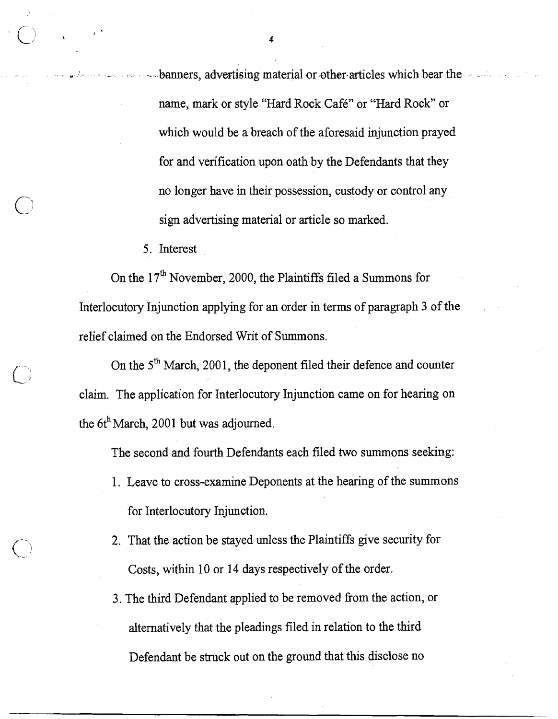**ID --**banners, advertising material or other articles which bear the name, mark or style "Hard Rock Café" or "Hard Rock" or which would be a breach of the aforesaid injunction prayed for and verification upon oath by the Defendants that they no longer have in their possession, custody or control any sign advertising material or article so marked.

5. Interest

On the  $17<sup>th</sup>$  November, 2000, the Plaintiffs filed a Summons for Interlocutory Injunction applying for an order in terms of paragraph **3** of the . relief claimed on the Endorsed Writ of Summons.

On the 5<sup>th</sup> March, 2001, the deponent filed their defence and counter claim. The application for Interlocutory Injunction came on for hearing on the  $6t<sup>h</sup>$  March, 2001 but was adjourned.

The second and fourth Defendants each filed two summons seeking:

- 1. Leave to cross-examine Deponents at the hearing of the summons for Interlocutory Injunction.
- 2. That the action be stayed unless the Plaintiffs give security for Costs, within 10 or 14 days respectively'of the order.
- 3. The third Defendant applied to be removed fiom the action, or alternatively that the pleadings filed in relation to the third Defendant be struck out on the ground that this disclose no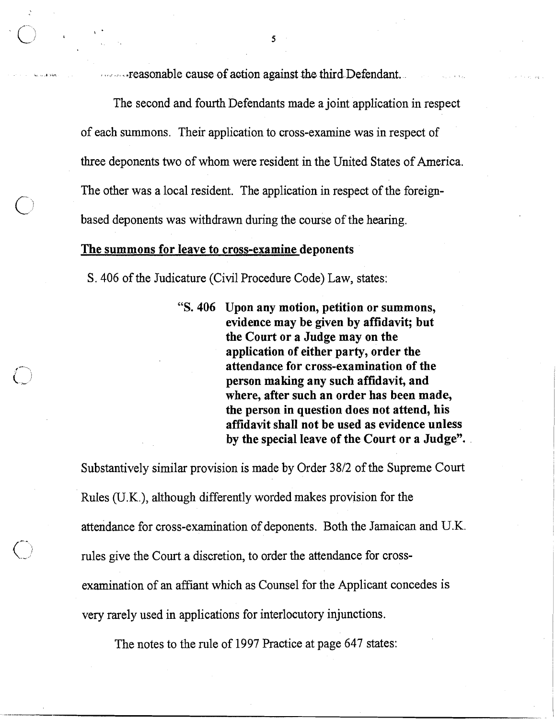**b**, **b**, **b**, **c**  $\alpha$  **b**, **c**  $\alpha$  **c**  $\alpha$  **c**  $\alpha$  **c**  $\alpha$  **c**  $\alpha$  **c**  $\alpha$  **c**  $\alpha$  **c**  $\alpha$  **c**  $\alpha$  **c**  $\alpha$  **c**  $\alpha$  **c**  $\alpha$  **c**  $\alpha$  **c**  $\alpha$  **c**  $\alpha$  **c**  $\alpha$  **c**  $\alpha$  **c**  $\alpha$  **c**  $\alpha$  **c**  $\alpha$  **c**  $\alpha$  **c**

The second and fourth Defendants made a joint application in respect of each summons. Their application to cross-examine was in respect of three deponents two of whom were resident in the United States of America. The other was a local resident. The application in respect of the foreignbased deponents was withdrawn during the course of the hearing.

## The summons for leave to cross-examine deponents

S .406 of the Judicature (Civil Procedure Code) Law, states:

"S. 406 Upon any motion, petition or summons, evidence may be given by affidavit; but the Court or a Judge may on the application of either party, order the attendance for cross-examination of the person making any such affidavit, and where, after such an order has been made, the person in question does not attend, his affidavit shall not be used as evidence unless by the special leave of the Court or a Judge".

Substantively similar provision is made by Order 3812 of the Supreme Court Rules (U.K.), although differently worded makes provision for the attendance for cross-examination of deponents. Both the Jamaican and U.K. rules give the Court a discretion, to order the attendance for crossexamination of an affiant which as Counsel for the Applicant concedes is very rarely used in applications for interlocutory injunctions.

The notes to the rule of 1997 Practice at page 647 states: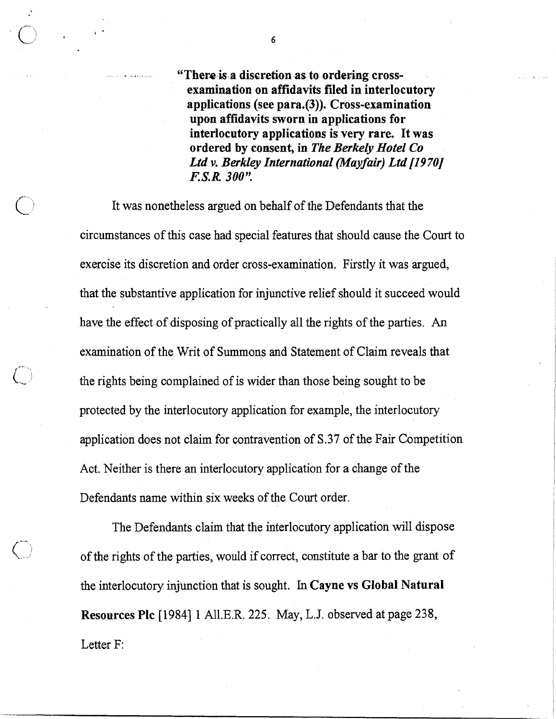**u** .. **"There is a discretion as to ordering crossexamination on affidavits filed in interlocutory applications (see para.(3)). Cross-examination upon affidavits sworn in applications for interlocutory applications is very rare. It was ordered by consent, in** *The Berkely Hotel Co Ltd v. Berkley International (Mayfair) Ltd [1970] l?S. R* **300".** 

It was nonetheless argued on behalf of the Defendants that the circumstances of this case had special features that should cause the Court to exercise its discretion and order cross-examination. Firstly it was argued, that the substantive application for injunctive relief should it succeed would have the effect of disposing of practically all the rights of the parties. An examination of the Writ of Summons and Statement of Claim reveals that the rights being complained of is wider than those being sought to be protected by the interlocutory application for example, the interlocutory application does not claim for contravention of **S.37** of the Fair Competition Act. Neither is there an interlocutory application for a change of the Defendants name within six weeks of the Court order.

The Defendants claim that the interlocutory application will dispose of the rights of the parties, would if correct, constitute a bar to the grant of the interlocutory injunction that is sought. In **Cayne vs Global Natural Resources Plc** [I9841 **1** A11.E.R. 225. May, L.J. observed at page 238, Letter F:

6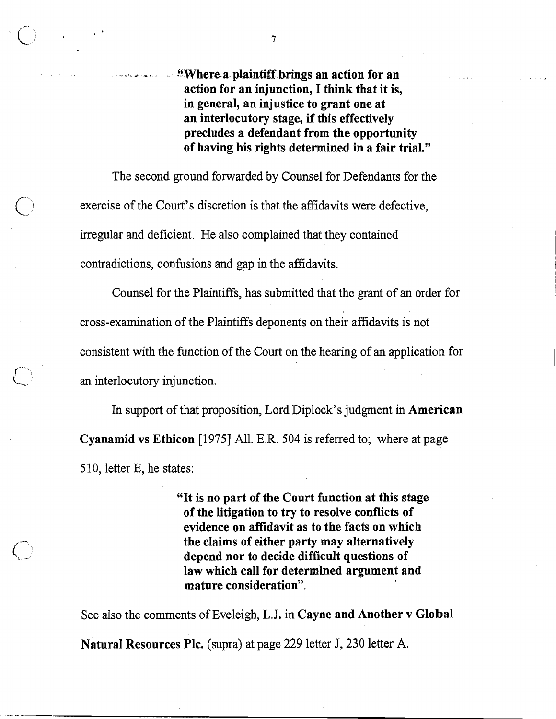*Where a plaintiff brings an action for an* action for an injunction, I think that it is, in general, an injustice to grant one at an interlocutory stage, if this effectively precludes a defendant from the opportunity of having his rights determined in a fair trial."

The second ground forwarded by Counsel for Defendants for the exercise of the Court's discretion is that the affidavits were defective, irregular and deficient. He also complained that they contained contradictions, confusions and gap in the affidavits.

Counsel for the Plaintiffs, has submitted that the grant of an order for cross-examination of the Plaintiffs deponents on their affidavits is not consistent with the function of the Court on the hearing of an application for an interlocutory injunction.

In support of that proposition, Lord Diplock's judgment in American Cyanamid vs Ethicon [I9751 All. E.R. 504 is referred to; where at page 510, letter E, he states:

> "It is no part of the Court function at this stage of the litigation to try to resolve conflicts of evidence on affidavit as to the facts on which the claims of either party may alternatively depend nor to decide difficult questions of law which call for determined argument and mature consideration".

See also the comments of Eveleigh, L.J. in Cayne and Another v Global Natural Resources Plc. (supra) at page 229 letter J, 230 letter A.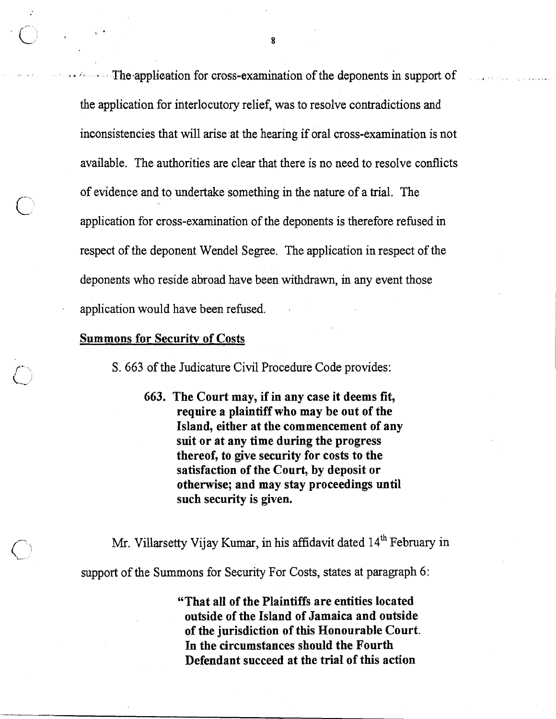$\cdot$  The application for cross-examination of the deponents in support of the application for interlocutory relief, was to resolve contradictions and inconsistencies that will arise at the hearing if oral cross-examination is not available. The authorities are clear that there is no need to resolve conflicts of evidence and to undertake something in the nature of a trial. The application for cross-examination of the deponents is therefore refused in respect of the deponent Wendel Segree. The application in respect of the deponents who reside abroad have been withdrawn, in any event those application would have been refused. .

## Summons for Security of Costs

S. 663 of the Judicature Civil Procedure Code provides:

663. The Court may, if in any case it deems fit, require a plaintiff who may be out of the Island, either at the commencement of any suit or at any time during the progress thereof, to give security for costs to the satisfaction of the Court, by deposit or otherwise; and may stay proceedings until such security is given.

Mr. Villarsetty Vijay Kumar, in his affidavit dated 14<sup>th</sup> February in support of the Summons for Security For Costs, states at paragraph 6:

> "That all of the Plaintiffs are entities located outside of the Island of Jamaica and outside of the jurisdiction of this Honourable Court. In the circumstances should the Fourth Defendant succeed at the trial of this action

8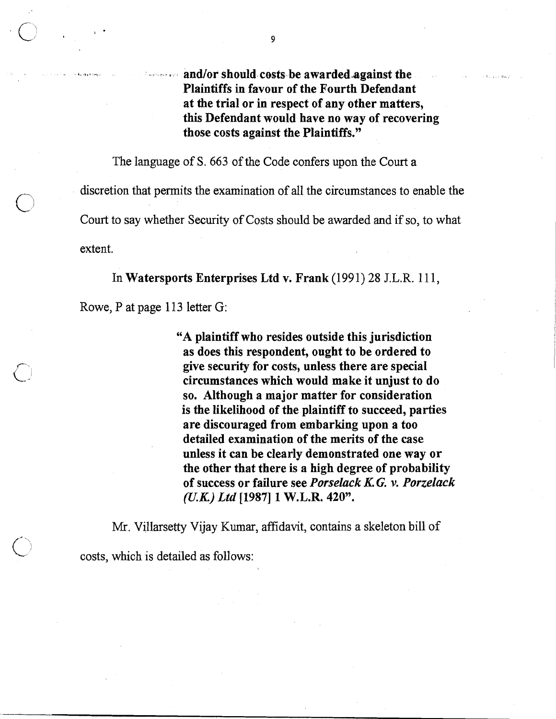and/or should costs be awarded against the Plaintiffs in favour of the Fourth Defendant at the trial or in respect of any other matters, this Defendant would have no way of recovering those costs against the Plaintiffs."

The language of S. 663 of the Code confers upon the Court a discretion that permits the examination of all the circumstances to enable the Court to say whether Security of Costs should be awarded and if so, to what extent.

In Watersports Enterprises Ltd v. Frank (1991) 28 J.L.R. 11 1,

Rowe, P at page 113 letter G:

"A plaintiff who resides outside this jurisdiction as does this respondent, ought to be ordered to give security for costs, unless there are special circumstances which would make it unjust to do so. Although a major matter for consideration is the likelihood of the plaintiff to succeed, parties are discouraged from embarking upon a too detailed examination of the merits of the case unless it can be clearly demonstrated one way or the other that there is a high degree of probability of success or failure see *Porselack* KG. *v. Porzelack (UK) Ltd* **[I9871** 1 W.L.R. 420".

Mr. Villarsetty Vijay Kumar, affidavit, contains a skeleton bill of

costs, which is detailed as follows: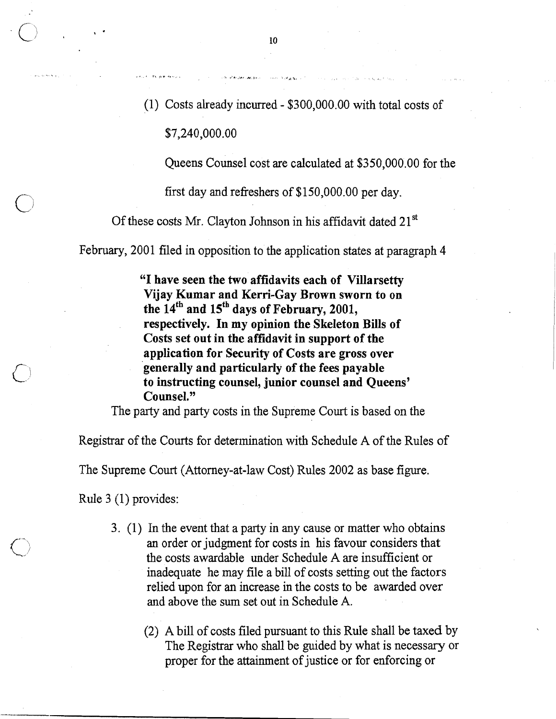(1) Costs already incurred - \$300,000.00 with total costs of

\$7,240,000.00

Queens Counsel cost are calculated at \$350,000.00 for the

first day and refreshers of  $$150,000.00$  per day.

Of these costs Mr. Clayton Johnson in his affidavit dated 21<sup>st</sup>

February, 2001 filed in opposition to the application states at paragraph 4

"I have seen the two affidavits each of Villarsetty Vijay Kumar and Kerri-Gay Brown sworn to on the  $14<sup>th</sup>$  and  $15<sup>th</sup>$  days of February, 2001, respectively. In my opinion the Skeleton Bills of Costs set out in the affidavit in support of the application for Security of Costs are gross over generally and particularly of the fees payable to instructing counsel, junior counsel and Queens' Counsel."

The party and party costs in the Supreme Court is based on the

Registrar of the Courts for determination with Schedule A of the Rules of

The Supreme Court (Attorney-at-law Cost) Rules 2002 as base figure.

Rule 3 (1) provides:

- 3. (1) In the event that a party in any cause or matter who obtains an order or judgment for costs in his favour considers that the costs awardable under Schedule A are insufficient or inadequate he may file a bill of costs setting out the factors relied upon for an increase in the costs to be awarded over and above the sum set out in Schedule A.
	- (2) A bill of costs filed pursuant to this Rule shall be taxed by The Registrar who shall be guided by what is necessary or proper for the attainment of justice or for enforcing or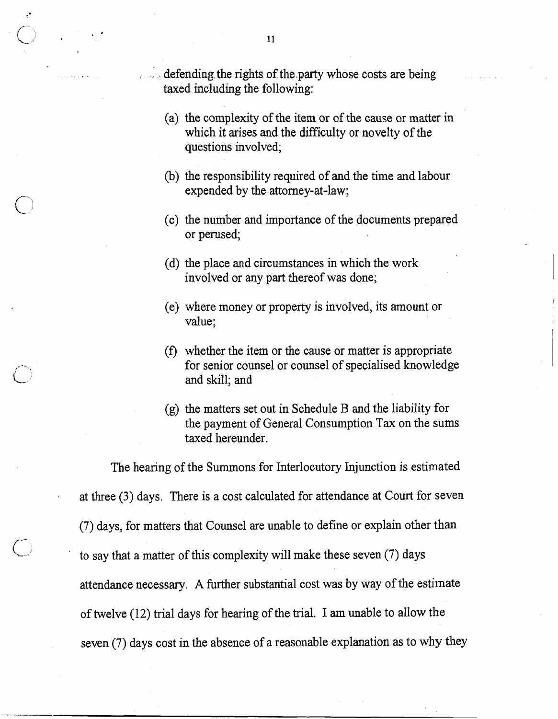defending the rights of the party whose costs are being taxed including the following:

- (a) the complexity of the item or of the cause or matter in which it arises and the difficulty or novelty of the questions involved;
- (b) the responsibility required of and the time and labour expended by the attorney-at-law;
- (c) the number and importance of the documents prepared or perused;
- (d) the place and circumstances in which the work involved or any part thereof was done;
- (e) where money or property is involved, its amount or value;
- **(f)** whether the item or the cause or matter is appropriate for senior counsel or counsel of specialised knowledge and skill; and
- (g) the matters set out in Schedule B and the liability for the payment of General Consumption Tax on the sums taxed hereunder.

The hearing of the Summons for Interlocutory Injunction is estimated at three **(3)** days. There is a cost calculated for attendance at Court for seven (7) days, for matters that Counsel are unable to define or explain other than to say that a matter of this complexity will make these seven  $(7)$  days attendance necessary. A further substantial cost was by way of the estimate of twelve (12) trial days for hearing of the trial. I am unable to allow the seven (7) days cost in the absence of a reasonable explanation as to why they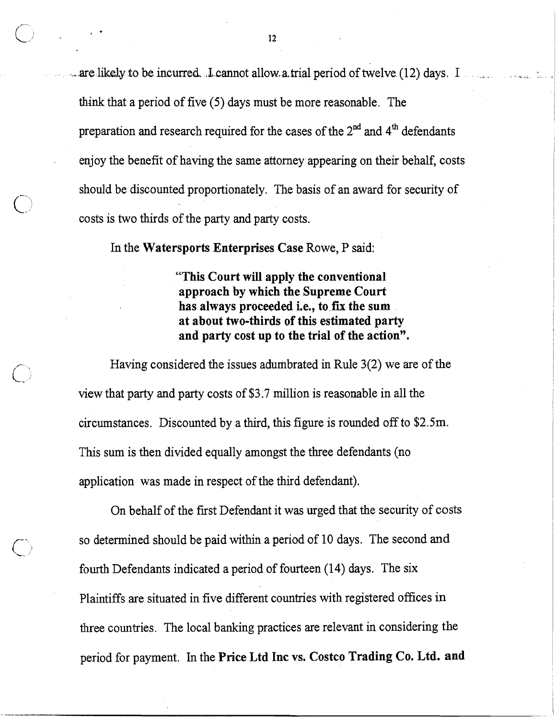..-.are likely to be incurred .L cannot allow,a.trial period of twelve (12) days. I . . % .. **,.**  think that a period of five (5) days must be more reasonable. The preparation and research required for the cases of the 2<sup>nd</sup> and 4<sup>th</sup> defendants enjoy the benefit of having the same attorney appearing on their behalf, costs should be discounted proportionately. The basis of an award for security of costs is two thirds of the party and party costs.

In the **Watersports Enterprises Case** Rowe, **P** said:

**"This Court will apply the conventional approach by which the Supreme Court has always proceeded i.e., to.fix the sum at about two-thirds of this estimated party and party cost up to the trial of the action".** 

Having considered the issues adumbrated in Rule 3(2) we are of the view that party and party costs of \$3.7 million is reasonable in all the circumstances. Discounted by a third, this figure is rounded off to \$2.5m. This sum is then divided equally amongst the three defendants (no application was made in respect of the third defendant).

On behalf of the first Defendant it was urged that the security of costs so determined should be paid within a period of 10 days. The second and fourth Defendants indicated a period of fourteen (14) days. The six Plaintiffs are situated in five different countries with registered offices in three countries. The local banking practices are relevant in considering the period for payment. In the **Price Ltd Inc vs. Costco Trading Co. Ltd. and**